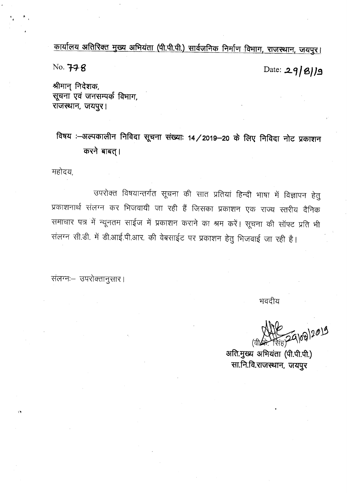कार्यालय अतिरिक्त मुख्य अभियंता (पी.पी.पी.) सार्वजनिक निर्माण विभाग, राजस्थान, जयपुर।

No. 778

Date: 29/8/19

श्रीमान् निदेशक, सूचना एवं जनसम्पर्क विभाग, राजस्थान, जयपुर।

विषय :-अल्पकालीन निविदा सूचना संख्याः 14/2019-20 के लिए निविदा नोट प्रकाशन करने बाबत् ।

महोदय,

उपरोक्त विषयान्तर्गत सूचना की सात प्रतियां हिन्दी भाषा में विज्ञापन हेतु प्रकाशनार्थ संलग्न कर भिजवायी जा रही हैं जिसका प्रकाशन एक राज्य स्तरीय दैनिक समाचार पत्र में न्यूनतम साईज में प्रकाशन कराने का श्रम करें। सूचना की सॉफ्ट प्रति भी संलग्न सी.डी. में डी.आई.पी.आर. की वेबसाईट पर प्रकाशन हेतु भिजवाई जा रही है।

संलग्नः- उपरोक्तानुसार।

भवदीय

अति.मुख्य अभियंता (पी.पी.पी.) सा.नि.वि.राजस्थान, जयपुर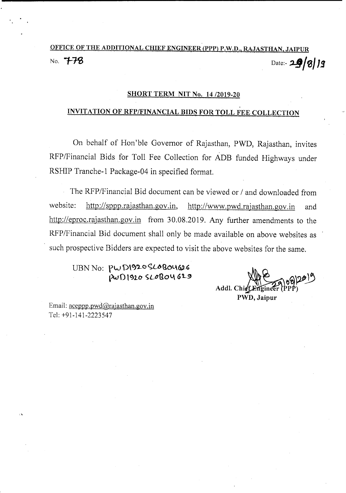# OFFICE OF THE ADDITIONAL CHIEF ENGINEER (PPP) P.W.D., RAJASTHAN, JAIPUR No. **778** Date:- **29/0112**

#### SHORT TERM NIT No. *14/2019-20*

### INVITATION OF RFP/FINANCIAL BIDS FOR TOLL FEE COLLECTION

On behalf of Hon'ble Governor of Rajasthan, PWD, Rajasthan, invites RFP/Financial Bids for Toll Fee Collection for ADB funded Highways under RSHIP Tranche-l Package-04 in specified format.

The RFP/Financial Bid document can be viewed or *I* and downloaded from website: http://sppp.rajasthan.gov.in, http://www.pwd.rajasthan.gov.in and http://eproc.rajasthan.gov.in from 30.08.2019. Any further amendments to the RFP/Financial Bid document shall only be made available on above websites as such prospective Bidders are expected to visit the above websites for the same.

 $UBN$   $No: PWD\$  $O\$  $O\$  $O\$  $O\$  $O\$  $O\$  $O\$  $PWD$  1920 SLOBOY 629

Addl. Chief PWD, Jaipur

Email: aceppp.pwd@rajasthan.gov.in Tel: +91-141-2223547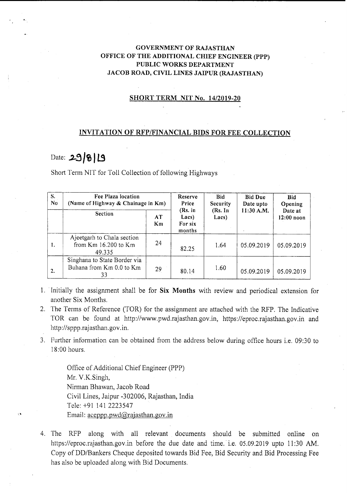#### GOVERNMENT OF RAJASTHAN OFFICE OF THE ADDITIONAL CHIEF ENGINEER (PPP) PUBLIC WORKS DEPARTMENT JACOB ROAD, CIVIL LINES JAIPUR (RAJASTHAN)

#### SHORT TERM NIT No. *14/2019-20*

#### INVITATION OF RFP/FINANCIAL BIDS FOR FEE COLLECTION

### Date: **.,2..!:) /% <sup>J</sup>1.9**

Short Term NIT for Toll Collection of following Highways

| S.<br>N <sub>0</sub> | Fee Plaza location<br>(Name of Highway & Chainage in Km)       |          | Reserve<br>Price                      | <b>Bid</b><br><b>Security</b> | <b>Bid Due</b><br>Date upto | <b>Bid</b><br>Opening   |
|----------------------|----------------------------------------------------------------|----------|---------------------------------------|-------------------------------|-----------------------------|-------------------------|
|                      | <b>Section</b>                                                 | AT<br>Km | (Rs. in<br>Lacs)<br>For six<br>months | (Rs. In<br>Lacs)              | 11:30 A.M.                  | Date at<br>$12:00$ noon |
| 1.                   | Ajeetgarh to Chala section<br>from Km 16.200 to Km<br>49.335   | 24       | 82.25                                 | 1.64                          | 05.09.2019                  | 05.09.2019              |
| 2.                   | Singhana to State Border via<br>Buhana from Km 0.0 to Km<br>33 | 29       | 80.14                                 | 1.60                          | 05.09.2019                  | 05.09.2019              |

- 1. Initially the assignment shall be for Six Months with review and periodical extension for another Six Months.
- 2. The Terms of Reference (TOR) for the assignment are attached with the RFP. The Indicative TOR can be found at http://www.pwd.rajasthan.gov.in, https://eproc.rajasthan.gov.in and http://sppp.rajasthan.gov.in.
- 3. Further information Can be obtained from the address below during office hours i.e. 09:30 to 18:00 hours.

Office of Additional Chief Engineer (PPP) Mr. V.K.Singh, Nirman Bhawan, Jacob Road Civil Lines, Jaipur -302006, Rajasthan, India Tele: +91 141 2223547 Email: aceppp.pwd@rajasthan.gov.in

4. The RFP along with all relevant documents should be submitted online on https://eproc.rajasthan.gov.in before the due date and time. i.e. 05.09.2019 upto 11:30 AM. Copy of DD/Bankers Cheque deposited towards Bid Fee, Bid Security and Bid Processing Fee has also be uploaded along with Bid Documents.